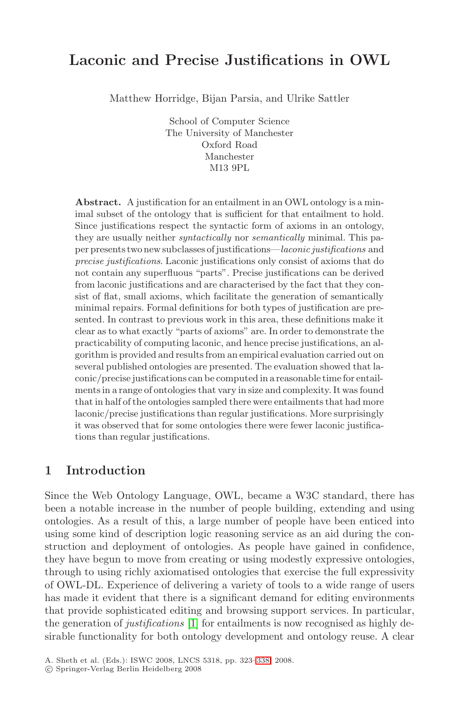# **Laconic and Precise Justifications in OWL**

Matthew Horridge, Bijan Parsia, and Ulrike Sattler

School of Computer Science The University of Manchester Oxford Road Manchester M13 9PL

**Abstract.** A justification for an entailment in an OWL ontology is a minimal subset of the ontology that is sufficient for that entailment to hold. Since justifications respect the syntactic form of axioms in an ontology, they are usually neither *syntactically* nor *semantically* minimal. This paper presents two new subclasses of justifications—*laconic justifications* and *precise justifications*. Laconic justifications only consist of axioms that do not contain any superfluous "parts". Precise justifications can be derived from laconic justifications and are characterised by the fact that they consist of flat, small axioms, which facilitate the generation of semantically minimal repairs. Formal definitions for both types of justification are presented. In contrast to previous work in this area, these definitions make it clear as to what exactly "parts of axioms" are. In order to demonstrate the practicability of computing laconic, and hence precise justifications, an algorithm is provided and results from an empirical evaluation carried out on several published ontologies are presented. The evaluation showed that laconic/precise justifications can be computed in a reasonable time for entailments in a range of ontologies that vary in size and complexity. It was found that in half of the ontologies sampled there were entailments that had more laconic/precise justifications than regular justifications. More surprisingly it was observed that for some ontologies there were fewer laconic justifications than regular justifications.

# **1 Introduction**

Since the Web Ontology Language, OWL, became a W3C standard, there has been a notable increase in the number of people building, extending and using ontologies. [As](#page-15-0) a result of this, a large number of people have been enticed into using some kind of description logic reasoning service as an aid during the construction and deployment of ontologies. As people have gained in confidence, they have begun to move [from](#page-15-1) creating or using modestly expressive ontologies, through to using richly axiomatised ontologies that exercise the full expressivity of OWL-DL. Experience of delivering a variety of tools to a wide range of users has made it evident that there is a significant demand for editing environments that provide sophisticated editing and browsing support services. In particular, the generation of *justifications* [1] for entailments is now recognised as highly desirable functionality for both ontology development and ontology reuse. A clear

A. Sheth et al. (Eds.): ISWC 2008, LNCS 5318, pp. 323–338, 2008.

<sup>-</sup>c Springer-Verlag Berlin Heidelberg 2008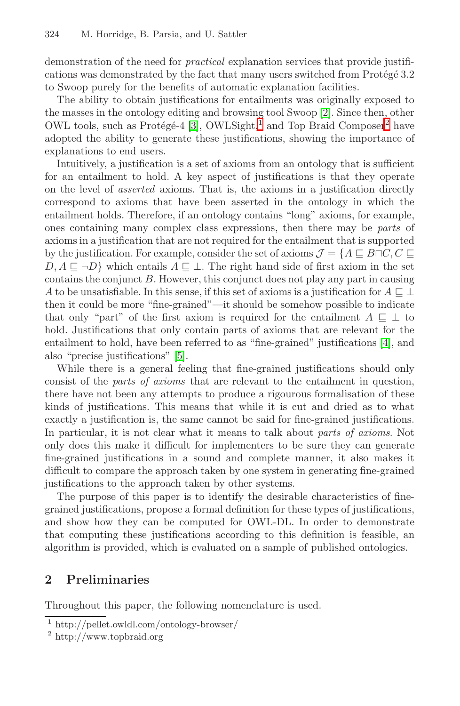demonstration of the need for *practical* explanation services that provide justifications was demonstrated by the fact that many users switched from Protégé 3.2 to Swoop purely for the benefits of automatic explanation facilities.

The ability to obtain justifications for entailments was originally exposed to the masses in the ontology editing and browsing tool Swoop [2]. Since then, other OWL tools, such as Protégé-4 [3], OWLSight,<sup>1</sup> and Top Braid Composer<sup>2</sup> have adopted the ability to generate these justifications, showing the importance of explanations to end users.

Intuitively, a justification is a set of axioms from an ontology that is sufficient for an entailment to hold. A key aspect of justifications is that they operate on the level of *asserted* axioms. That is, the axioms in a justification directly correspond to axioms that have been asserted in the ontology in which the entailment holds. Therefore, if an ontology contains "long" axioms, for example, ones containing many complex class expressions, then there may be *parts* of axioms in a justification that are not required for the e[nta](#page-15-3)ilment that is supported by the ju[sti](#page-15-4)fication. For example, consider the set of axioms  $\mathcal{J} = \{A \sqsubseteq B \sqcap C, C \sqsubseteq D \mid A \sqsubset \neg D\}$  which entails  $A \sqsubset \bot$ . The right hand side of first axiom in the set  $D, A \sqsubseteq \neg D$  which entails  $A \sqsubseteq \bot$ . The right hand side of first axiom in the set contains the conjunct B. However, this conjunct does not play any part in causing contains the conjunct B. However, this conjunct does not play any part in causing A to be unsatisfiable. In this sense, if this set of axioms is a justification for  $A \sqsubseteq \bot$ <br>then it could be more "fine-grained"—it should be somehow possible to indicate then it could be more "fine-grained"—it should be somehow possible to indicate that only "part" of the first axiom is required for the entailment  $A \subseteq \perp$  to hold Justifications that only contain parts of axioms that are relevant for the hold. Justifications that only contain parts of axioms that are relevant for the entailment to hold, have been referred to as "fine-grained" justifications [4], and also "precise justifications" [5].

While there is a general feeling that fine-grained justifications should only consist of the *parts of axioms* that are relevant to the entailment in question, there have not been any attempts to produce a rigourous formalisation of these kinds of justifications. This means that while it is cut and dried as to what exactly a justification is, the same cannot be said for fine-grained justifications. In particular, it is not clear what it means to talk about *parts of axioms*. Not only does this make it difficult for implementers to be sure they can generate fine-grained justifications in a sound and complete manner, it also makes it difficult to compare the approach taken by one system in generating fine-grained justifications to the approach taken by other systems.

<span id="page-1-0"></span>The purpose of this paper is to identify the desirable characteristics of finegrained justifications, propose a formal definition for these types of justifications, and show how they can be computed for OWL-DL. In order to demonstrate that computing these justifications according to this definition is feasible, an algorithm is provided, which is evaluated on a sample of published ontologies.

## **2 Preliminaries**

Throughout this paper, the following nomenclature is used.

<sup>1</sup> http://pellet.owldl.com/ontology-browser/

<sup>2</sup> http://www.topbraid.org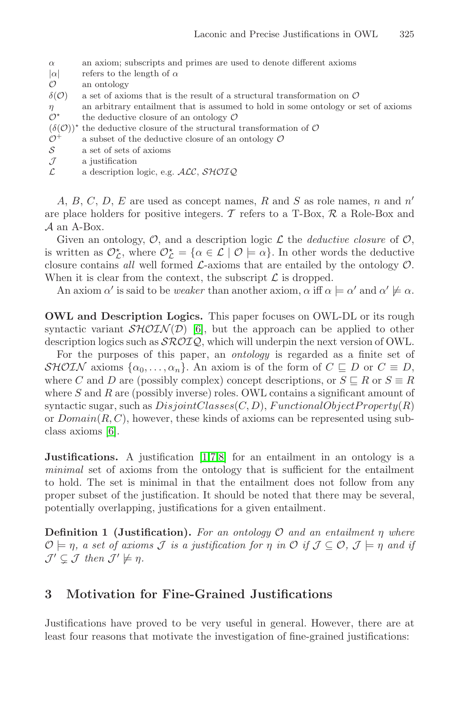- $\alpha$  an axiom; subscripts and primes are used to denote different axioms
- $|\alpha|$  refers to the length of  $\alpha$
- $\mathcal{O}$  an ontology<br>  $\delta(\mathcal{O})$  a set of axic
- a set of axioms that is the result of a structural transformation on  $O$
- $\eta$  an arbitrary entailment that is assumed to hold in some ontology or set of axioms
- $\mathcal{O}^{\star}$ the deductive closure of an ontology  $O$
- $(\delta(\mathcal{O}))^*$ the deductive closure of the structural transformation of  ${\mathcal O}$
- $\mathcal{O}^+$  a subset of the deductive closure of an ontology  $\mathcal O$
- S a set of sets of axioms
- $J$  a justification
- $\mathcal{L}$  a description logic, e.g.  $\mathcal{ALC}$ ,  $\mathcal{SHOIQ}$

A, B, C, D, E are used as concept names, R and S as role names, n and  $n'$ are place holders for positive integers.  $\mathcal T$  refers to a T-Box,  $\mathcal R$  a Role-Box and A an A-Box.

Given an [on](#page-15-5)tology,  $\mathcal{O}$ , and a description logic  $\mathcal L$  the *deductive closure* of  $\mathcal O$ , is written as  $\mathcal{O}_{\mathcal{L}}^*$ , where  $\mathcal{O}_{\mathcal{L}}^* = {\alpha \in \mathcal{L} \mid \mathcal{O} \models \alpha}$ . In other words the deductive<br>closure contains all well formed C-axioms that are entailed by the ontology  $\mathcal{O}$ closure contains *all* well formed  $\mathcal{L}$ -axioms that are entailed by the ontology  $\mathcal{O}$ . When it is clear from the context, the subscript  $\mathcal L$  is dropped.

An axiom  $\alpha'$  is said to be *weaker* than another axiom,  $\alpha$  iff  $\alpha \models \alpha'$  and  $\alpha' \not\models \alpha$ .

**OWL and Description Logics.** This paper focuses on OWL-DL or its rough syntactic variant  $\mathcal{SHOIN}(\mathcal{D})$  [6], but the approach can be applied to other description logics such as  $\mathcal{SROTQ}$ , which will underpin the next version of OWL.

For the pu[rp](#page-15-0)[os](#page-15-6)[es](#page-15-7) of this paper, an *ontology* is regarded as a finite set of  $\mathcal{SHOIN}$  axioms  $\{\alpha_0, \ldots, \alpha_n\}$ . An axiom is of the form of  $C \sqsubseteq D$  or  $C \equiv D$ ,<br>where C and D are (possibly complex) concept descriptions or  $S \sqsubseteq R$  or  $S = R$ where C and D are (possibly complex) concept descriptions, or  $S \subseteq R$  or  $S \equiv R$ <br>where S and R are (possibly inverse) roles OWL contains a significant amount of where  $S$  and  $R$  are (possibly inverse) roles. OWL contains a significant amount of syntactic sugar, such as  $DisjointClasses(C, D)$ , FunctionalObjectProperty(R) or  $Domain(R, C)$ , however, these kinds of axioms can be represented using subclass axioms [6].

<span id="page-2-1"></span><span id="page-2-0"></span>**Justifications.** A justification [1,7,8] for an entailment in an ontology is a *minimal* set of axioms from the ontology that is sufficient for the entailment to hold. The set is minimal in that the entailment does not follow from any proper subset of the justification. It should be noted that there may be several, potentially overlapping, justifications for a given entailment.

**Definition 1 (Justification).** *For an ontology* <sup>O</sup> *and an entailment* η *where*  $\mathcal{O} \models \eta$ , a set of axioms  $\mathcal{J}$  is a justification for  $\eta$  in  $\mathcal{O}$  if  $\mathcal{J} \subseteq \mathcal{O}$ ,  $\mathcal{J} \models \eta$  and if  $\mathcal{J}' \subsetneq \mathcal{J}$  then  $\mathcal{J}' \not\models \eta$ .

# **3 Motivation for Fine-Grained Justifications**

Justifications have proved to be very useful in general. However, there are at least four reasons that motivate the investigation of fine-grained justifications: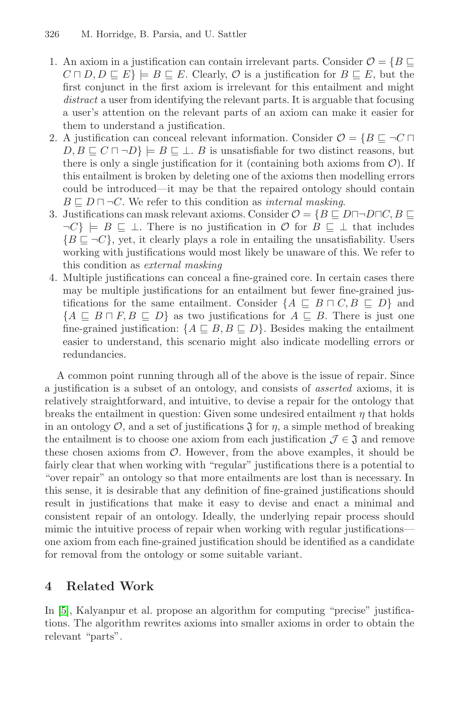- 1. An axiom in a justification can contain irrelevant parts. Consider  $\mathcal{O} = \{B \sqsubseteq$ <br> $C \sqcap D \sqcap F \sqcap F \sqsubseteq F \sqsubseteq C$  learly  $\mathcal{O}$  is a justification for  $B \sqsubseteq F$  but the  $C \sqcap D, D \sqsubseteq E$   $\models B \sqsubseteq E$ . Clearly,  $O$  is a justification for  $B \sqsubseteq E$ , but the first conjunct in the first axiom is irrelevant for this entailment and might first conjunct in the first axiom is irrelevant for this entailment and might *distract* a user from identifying the relevant parts. It is arguable that focusing a user's attention on the relevant parts of an axiom can make it easier for them to understand a justification.
- 2. A justification can conceal relevant information. Consider  $\mathcal{O} = \{B \sqsubseteq \neg C \sqcap D \mid B \sqsubset B \sqsubset \neg D \mid B \sqsubset B \sqsubset B \}$  is unsatisfiable for two distinct reasons but  $D, B \subseteq C \sqcap \neg D$   $\models B \sqsubseteq \bot$ . B is unsatisfiable for two distinct reasons, but<br>there is only a single justification for it (containing both axioms from (2) If there is only a single justification for it (containing both axioms from  $\mathcal{O}$ ). If this entailment is broken by deleting one of the axioms then modelling errors could be introduced—it may be that the repaired ontology should contain  $B \sqsubseteq D \sqcap \neg C$ . We refer to this condition as *internal masking*.<br>Instifications can mask relevant axioms Consider  $O - I B \sqsubset I$
- 3. Justifications can mask relevant axioms. Consider  $\mathcal{O} = \{B \sqsubseteq D \sqcap \neg D \sqcap C, B \sqsubseteq \neg C \sqcup \sqsubseteq B \sqsubset \sqcup$  There is no justification in  $\mathcal{O}$  for  $B \sqsubset \sqcup$  that includes  $\neg C$   $\models B \sqsubseteq \bot$ . There is no justification in  $\mathcal{O}$  for  $B \sqsubseteq \bot$  that includes  $\{B \sqsubset \neg C\}$  vet it clearly plays a role in entailing the unsatisfiability Users  $\{B \sqsubseteq \neg C\}$ , yet, it clearly plays a role in entailing the unsatisfiability. Users working with justifications would most likely be unaware of this. We refer to working with justifications would most likely be unaware of this. We refer to this condition as *external masking*
- 4. Multiple justifications can conceal a fine-grained core. In certain cases there may be multiple justifications for an entailment but fewer fine-grained justifications for the same entailment. Consider  $\{A \sqsubseteq B \sqcap C, B \sqsubseteq D\}$  and  $A \sqsubseteq B \sqcap F$   $B \sqsubseteq D$  as two justifications for  $A \sqsubseteq B$ . There is just one  ${A \sqsubseteq B \sqcap F, B \sqsubseteq D}$  as two justifications for  $A \sqsubseteq B$ . There is just one<br>fine-grained justification:  $A \sqsubset B \sqcap D$  Besides making the entailment fine-grained justification:  $\{A \sqsubseteq B, B \sqsubseteq D\}$ . Besides making the entailment<br>easier to understand, this scenario might also indicate modelling errors or easier to understand, this scenario might also indicate modelling errors or redundancies.

A common point running through all of the above is the issue of repair. Since a justification is a subset of an ontology, and consists of *asserted* axioms, it is relatively straightforward, and intuitive, to devise a repair for the ontology that breaks the entailment in question: Given some undesired entailment  $\eta$  that holds in an ontology  $\mathcal{O}$ , and a set of justifications  $\mathfrak J$  for  $\eta$ , a simple method of breaking the entailment is to choose one axiom from each justification  $\mathcal{J} \in \mathfrak{J}$  and remove these chosen axioms from  $\mathcal{O}$ . However, from the above examples, it should be fairly clear that when working with "regular" justifications there is a potential to "over repair" an ontology so that more entailments are lost than is necessary. In this sense, it is desirable that any definition of fine-grained justifications should result in justifications that make it easy to devise and enact a minimal and consistent repair of an ontology. Ideally, the underlying repair process should mimic the intuitive process of repair when working with regular justifications one axiom from each fine-grained justification should be identified as a candidate for removal from the ontology or some suitable variant.

# **4 Related Work**

In [5], Kalyanpur et al. propose an algorithm for computing "precise" justifications. The algorithm rewrites axioms into smaller axioms in order to obtain the relevant "parts".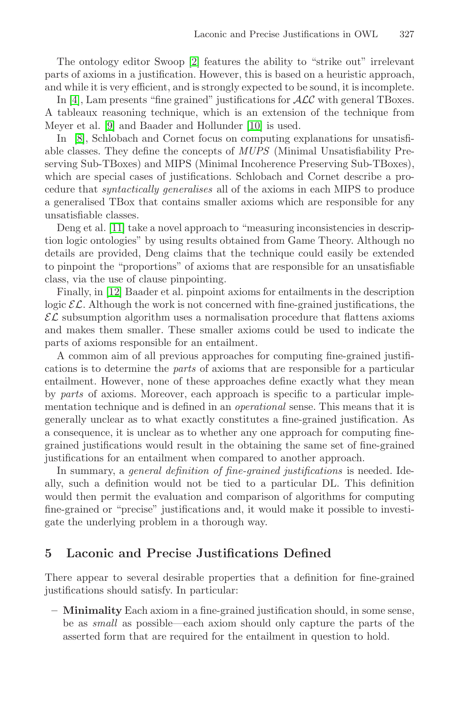The ontology editor Swoop [2] features the ability to "strike out" irrelevant parts of axioms in a justification. However, this is based on a heuristic approach, and while it is very efficient, and is strongly expected to be sound, it is incomplete.

In [4], Lam presents "fine grained" justifications for  $\mathcal{ALC}$  with general TBoxes. A tableaux reasoning technique, which is an extension of the technique from Meyer et al. [9] and Baader and Hollunder [10] is used.

In [8], Schlobach and Cornet focus on computing explanations for unsatisfiable classes. They define the concepts of *MUPS* (Minimal Unsatisfiability Preserving Sub-TBoxes) and MIPS (Minimal Incoherence Preserving Sub-TBoxes), which are special cases of justifications. Schlobach and Cornet describe a procedure that *syntactically generalises* all of the axioms in each MIPS to produce a generalised TBox that contains smaller axioms which are responsible for any unsatisfiable classes.

Deng et al. [11] take a novel approach to "measuring inconsistencies in description logic ontologies" by using results obtained from Game Theory. Although no details are provided, Deng claims that the technique could easily be extended to pinpoint the "proportions" of axioms that are responsible for an unsatisfiable class, via the use of clause pinpointing.

Finally, in [12] Baader et al. pinpoint axioms for entailments in the description logic  $\mathcal{EL}$ . Although the work is not concerned with fine-grained justifications, the  $\mathcal{EL}$  subsumption algorithm uses a normalisation procedure that flattens axioms and makes them smaller. These smaller axioms could be used to indicate the parts of axioms responsible for an entailment.

A common aim of all previous approaches for computing fine-grained justifications is to determine the *parts* of axioms that are responsible for a particular entailment. However, none of these approaches define exactly what they mean by *parts* of axioms. Moreover, each approach is specific to a particular implementation technique and is defined in an *operational* sense. This means that it is generally unclear as to what exactly constitutes a fine-grained justification. As a consequence, it is unclear as to whether any one approach for computing finegrained justifications would result in the obtaining the same set of fine-grained justifications for an entailment when compared to another approach.

In summary, a *general definition of fine-grained justifications* is needed. Ideally, such a definition would not be tied to a particular DL. This definition would then permit the evaluation and comparison of algorithms for computing fine-grained or "precise" justifications and, it would make it possible to investigate the underlying problem in a thorough way.

# **5 Laconic and Precise Justifications Defined**

There appear to several desirable properties that a definition for fine-grained justifications should satisfy. In particular:

**– Minimality** Each axiom in a fine-grained justification should, in some sense, be as *small* as possible—each axiom should only capture the parts of the asserted form that are required for the entailment in question to hold.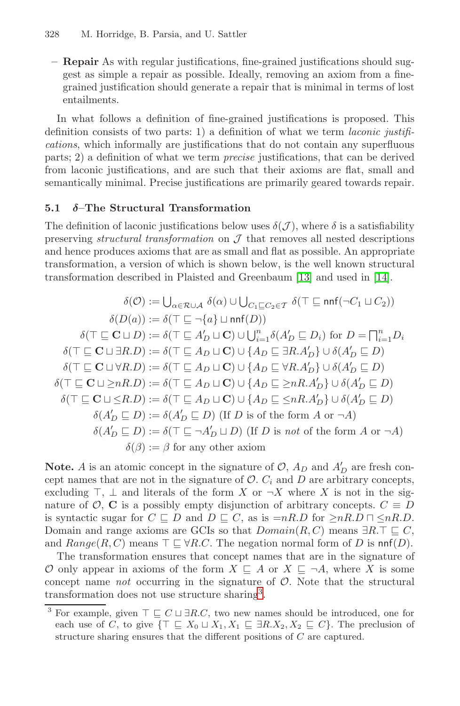**– Repair** As with regular justifications, fine-grained justifications should suggest as simple a repair as possible. Ideally, removing an axiom from a finegrained justification should generate a repair that is minimal in terms of lost entailments.

In what follows a definition of fine-grained justifications is proposed. This definition consists of two parts: 1) a definition of what we term *laconic justifications*, which informally are justifications that do not contain any superfluous parts; 2) a definition of what we term *precise* justifications, that can be derived from laconic justifications, and are such that their axioms are flat, small and semantically minimal. Precise justi[fica](#page-15-8)tions are pri[maril](#page-15-9)y geared towards repair.

### **5.1** *δ***–The Structural Transformation**

The definition of laconic justifications below uses  $\delta(\mathcal{J})$ , where  $\delta$  is a satisfiability preserving *structural transformation* on  $\mathcal J$  that removes all nested descriptions and hence produces axioms that are as small and flat as possible. An appropriate transformation, a version of which is shown below, is the well known structural transformation described in Plaisted and Greenbaum [13] and used in [14].

$$
\delta(\mathcal{O}) := \bigcup_{\alpha \in \mathcal{R} \cup \mathcal{A}} \delta(\alpha) \cup \bigcup_{C_1 \sqsubseteq C_2 \in \mathcal{T}} \delta(\top \sqsubseteq \mathsf{nnf}(\neg C_1 \sqcup C_2))
$$

$$
\delta(D(a)) := \delta(\top \sqsubseteq \neg \{a\} \sqcup \mathsf{nnf}(D))
$$

$$
\delta(\top \sqsubseteq \mathbf{C} \sqcup D) := \delta(\top \sqsubseteq A'_D \sqcup \mathbf{C}) \cup \bigcup_{i=1}^n \delta(A'_D \sqsubseteq D_i) \text{ for } D = \bigcap_{i=1}^n D_i
$$

$$
\delta(\top \sqsubseteq \mathbf{C} \sqcup \exists R.D) := \delta(\top \sqsubseteq A_D \sqcup \mathbf{C}) \cup \{A_D \sqsubseteq \exists R.A'_D\} \cup \delta(A'_D \sqsubseteq D)
$$

$$
\delta(\top \sqsubseteq \mathbf{C} \sqcup \forall R.D) := \delta(\top \sqsubseteq A_D \sqcup \mathbf{C}) \cup \{A_D \sqsubseteq \forall R.A'_D\} \cup \delta(A'_D \sqsubseteq D)
$$

$$
\delta(\top \sqsubseteq \mathbf{C} \sqcup \geq nR.D) := \delta(\top \sqsubseteq A_D \sqcup \mathbf{C}) \cup \{A_D \sqsubseteq \geq nR.A'_D\} \cup \delta(A'_D \sqsubseteq D)
$$

$$
\delta(\top \sqsubseteq \mathbf{C} \sqcup \leq R.D) := \delta(\top \sqsubseteq A_D \sqcup \mathbf{C}) \cup \{A_D \sqsubseteq \leq nR.A'_D\} \cup \delta(A'_D \sqsubseteq D)
$$

$$
\delta(A'_D \sqsubseteq D) := \delta(A'_D \sqsubseteq D) \text{ (If } D \text{ is of the form } A \text{ or } \neg A)
$$

$$
\delta(A'_D \sqsubseteq D) := \delta(\top \sqsubseteq \neg A'_D \sqcup D) \text{ (If } D \text{ is not of the form } A \text{ or } \neg A)
$$

$$
\delta(\beta) := \beta \text{ for any other axiom}
$$

**Note.** A is an atomic concept in the signature of  $\mathcal{O}$ ,  $A_D$  and  $A'_D$  are fresh concepts on  $A_D$  are  $A_D$  and  $B$  are arbitrary concepts cept names that are not in the signature of  $\mathcal{O}$ .  $C_i$  and  $D$  are arbitrary concepts, excluding  $\top$ ,  $\bot$  and litera[ls](#page-5-0) of the form X or  $\neg X$  where X is not in the sig-<br>nature of  $\mathcal{O}$ ,  $\mathbf{C}$  is a possibly empty disjunction of arbitrary concepts  $C = D$ nature of  $\mathcal{O}$ , **C** is a possibly empty disjunction of arbitrary concepts.  $C \equiv D$ is syntactic sugar for  $C \sqsubseteq D$  and  $D \sqsubseteq C$ , as is  $=nR.D$  for  $\geq nR.D \sqcap \leq nR.D$ .<br>Domain and range axioms are GCIs so that  $Domain(R,C)$  means  $\exists R \top \sqsubset C$ . Domain and range axioms are GCIs so that  $Domain(R, C)$  means  $\exists R.\top \sqsubseteq C$ ,<br>and  $Range(R, C)$  means  $\top \sqsubset \forall R, C$ . The negation pormal form of D is not(D). and  $Range(R, C)$  means  $\top \sqsubseteq \forall R.C$ . The negation normal form of D is nnf(D).<br>The transformation ensures that concent names that are in the signature of

<span id="page-5-0"></span>The transformation ensures that concept names that are in the signature of O only appear in axioms of the form  $X \subseteq A$  or  $X \subseteq \neg A$ , where X is some concept pame not occurring in the signature of  $O$ . Note that the structural concept name *not* occurring in the signature of  $O$ . Note that the structural transformation does not use structure sharing<sup>3</sup>.

<sup>&</sup>lt;sup>3</sup> For example, given  $\top \sqsubseteq C \sqcup \exists R.C$ , two new names should be introduced, one for each use of C, to give  $\{\top \sqsubseteq X_0 \sqcup X_1, X_1 \sqsubseteq \exists R.X_2, X_2 \sqsubseteq C\}$ . The preclusion of structure sharing ensures that the different positions of C are captured.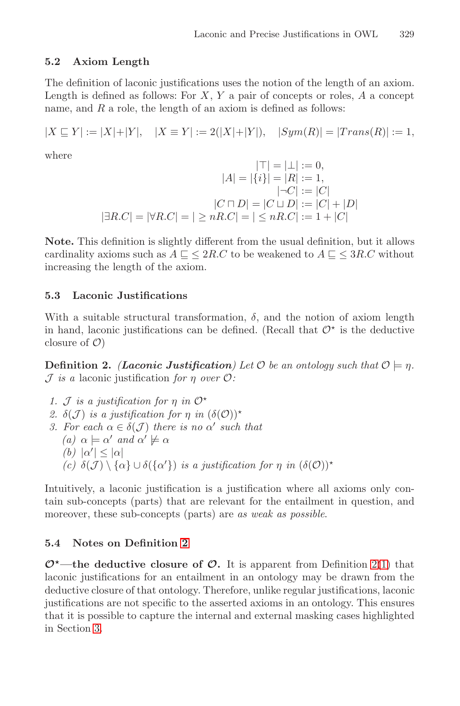### **5.2 Axiom Length**

The definition of laconic justifications uses the notion of the length of an axiom. Length is defined as follows: For  $X, Y$  a pair of concepts or roles,  $A$  a concept name, and  $R$  a role, the length of an axiom is defined as follows:

 $|X \subseteq Y| := |X| + |Y|, \quad |X \equiv Y| := 2(|X| + |Y|), \quad |Sym(R)| = |Trans(R)| := 1,$ 

where

$$
|\top| = |\bot| := 0,
$$
  
\n
$$
|A| = |\{i\}| = |R| := 1,
$$
  
\n
$$
|\neg C| := |C|
$$
  
\n
$$
|C \sqcap D| = |C \sqcup D| := |C| + |D|
$$
  
\n
$$
|\exists R.C| = |\forall R.C| = |\ge nR.C| = |\le nR.C| := 1 + |C|
$$

<span id="page-6-0"></span>**Note.** This definition is slightly different from the usual definition, but it allows cardinality axioms such as  $A \sqsubseteq \leq 2R.C$  to be weakened to  $A \sqsubseteq \leq 3R.C$  without increasing the length of the axiom increasing the length of the axiom.

### <span id="page-6-2"></span><span id="page-6-1"></span>**5.3 Laconic Justifications**

<span id="page-6-3"></span>With a suitable structural transformation,  $\delta$ , and the notion of axiom length in hand, laconic justifications can be defined. (Recall that  $\mathcal{O}^*$  is the deductive closure of  $\mathcal{O}$ )

**Definition 2.** *(Laconic Justification) Let*  $\mathcal{O}$  *be an ontology such that*  $\mathcal{O} \models \eta$ *.* <sup>J</sup> *is a* laconic justification *for* η *over* <sup>O</sup>*:*

*1. J is a justification for*  $\eta$  *in*  $\mathcal{O}^{\star}$ <br>*9.*  $\delta(\mathcal{I})$  *is a justification for n in* 2.  $\delta(\mathcal{J})$  *is a justification for*  $\eta$  *in*  $(\delta(\mathcal{O}))^*$ <br><sup>2</sup> For each  $\alpha \in \delta(\mathcal{J})$  there is no  $\alpha'$  such *3. For each*  $\alpha \in \delta(\mathcal{J})$  *there is no*  $\alpha'$  *such that* (a)  $\alpha \models \alpha'$  *and*  $\alpha' \not\models \alpha$ *(a)*  $\alpha$   $\models$  α' *and*  $\alpha'$   $\not\models$  α<br>*(b)*  $|α'| < |α|$ *(b)*  $|\alpha'| \leq |\alpha|$ <br>*(c)*  $\delta(\mathcal{I}) \setminus \mathcal{I}_{\Omega}$ *(c)*  $\delta(\mathcal{J}) \setminus {\alpha} \cup \delta({\alpha'})$  $\delta(\mathcal{J}) \setminus {\alpha} \cup \delta({\alpha'})$  $\delta(\mathcal{J}) \setminus {\alpha} \cup \delta({\alpha'})$  $\delta(\mathcal{J}) \setminus {\alpha} \cup \delta({\alpha'})$  *is a justification for*  $\eta$  *in*  $(\delta(\mathcal{O}))^*$ 

Intuitively, a laconic justification is a justification where all axioms only contain sub-concepts (parts) that are relevant for the entailment in question, and moreover, these sub-concepts (parts) are *as weak as possible*.

#### **5.4 Notes on Definition 2**

 $\mathcal{O}^*$ —the deductive closure of  $\mathcal{O}$ . It is apparent from Definition 2(1) that laconic justifications for an entailment in an ontology may be drawn from the deductive closure of that ontology. Therefore, unlike regular justifications, laconic justifications are not specific to the asserted axioms in an ontology. This ensures that it is possible to capture the internal and external masking cases highlighted in Section 3.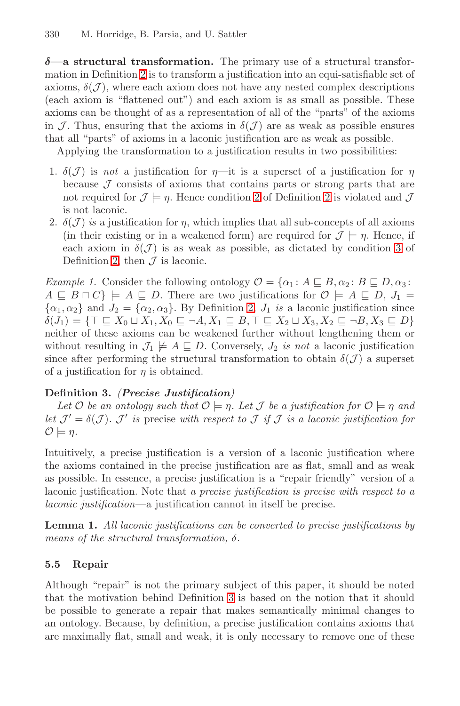*δ***—a structural transformation.** The primary use of a structural transformation in Definition 2 is to transform a justification into an equi-satisfiable set of axioms,  $\delta(\mathcal{J})$ , where each axiom does not have any nested complex descriptions (each axiom is "flattened [o](#page-6-2)ut") and eac[h a](#page-6-0)xiom is as small as possible. These axioms can be thought of as a representation of all of the "parts" of the axioms in J. Thus, ensuring that the axioms in  $\delta(\mathcal{J})$  are as weak as possible ensures that all "parts" of axioms in a laconic justification are as weak as possible.

Applying the transformation to a justification results [in](#page-6-3) two possibilities:

- 1.  $\delta(\mathcal{J})$  is *not* a justification for  $\eta$ —it is a superset of a justification for  $\eta$ because  $J$  consists of axioms that contains parts or strong parts that are not required for  $\mathcal{J} \models \eta$ . Hence condition 2 of Definition 2 is violated and  $\mathcal{J}$ is not laconic.
- 2.  $\delta(\mathcal{J})$  *is* a justification for  $\eta$ , which implies that all sub-concepts of all axioms (in their existing or in a weakened form) are required for  $\mathcal{J} \models n$ . Hence, if each axiom in  $\delta(\mathcal{J})$  is as weak as possible, as dictated by condition 3 of Definition 2, then  $J$  is laconic.

<span id="page-7-0"></span>*Example 1.* Consider the following ontology  $\mathcal{O} = {\alpha_1 : A \sqsubseteq B, \alpha_2 : B \sqsubseteq D, \alpha_3 : A \sqsubseteq B \sqcap C}$ .  $A \subseteq B \sqcap C$   $\models A \subseteq D$ . There are two justifications for  $\mathcal{O} \models A \subseteq D$ ,  $J_1 =$ <br> $\{\alpha_1, \alpha_2\}$  and  $J_2 = \{\alpha_2, \alpha_3\}$ . By Definition 2, L, is a laconic justification since  $\{\alpha_1, \alpha_2\}$  and  $J_2 = \{\alpha_2, \alpha_3\}$ . By Definition 2,  $J_1$  *is* a laconic justification since  $\delta(J_1) = {\top \sqsubseteq X_0 \sqcup X_1, X_0 \sqsubseteq \neg A, X_1 \sqsubseteq B, \top \sqsubseteq X_2 \sqcup X_3, X_2 \sqsubseteq \neg B, X_3 \sqsubseteq D}$ neither of these axioms can be weakened further without lengthening them or without resulting in  $\mathcal{J}_1 \not\models A \sqsubseteq D$ . Conversely,  $\mathcal{J}_2$  *is not* a laconic justification<br>since after performing the structural transformation to obtain  $\delta(\mathcal{J})$  a superset since after performing the structural transformation to obtain  $\delta(\mathcal{J})$  a superset of a justification for  $\eta$  is obtained.

#### **Definition 3.** *(Precise Justification)*

Let O be an ontology such that  $\mathcal{O} \models \eta$ . Let J be a justification for  $\mathcal{O} \models \eta$  and *let*  $\mathcal{J}' = \delta(\mathcal{J})$ *.*  $\mathcal{J}'$  *is* precise *with respect to*  $\mathcal{J}$  *if*  $\mathcal{J}$  *is a laconic justification for*  $\mathcal{O} \models \eta.$ 

Intuitively, a precise justification is a version of a laconic justification where the axioms contained in the precise justification are as flat, small and as weak as possible. In essence, a precise justification is a "repair friendly" version of a laconic justification. Note that *a precise justification is precise with respect to a laconic justification*[—a](#page-7-0) justification cannot in itself be precise.

**Lemma 1.** *All laconic justifications can be converted to precise justifications by means of the structural transformation,* δ*.*

### **5.5 Repair**

Although "repair" is not the primary subject of this paper, it should be noted that the motivation behind Definition 3 is based on the notion that it should be possible to generate a repair that makes semantically minimal changes to an ontology. Because, by definition, a precise justification contains axioms that are maximally flat, small and weak, it is only necessary to remove one of these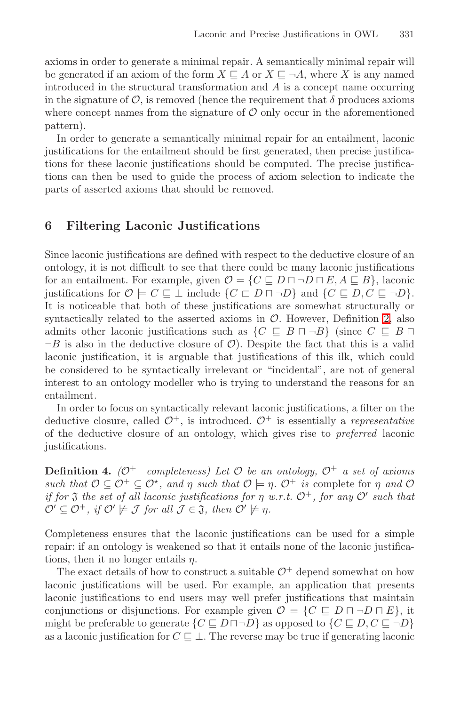axioms in order to generate a minimal repair. A semantically minimal repair will be generated if an axiom of the form  $X \sqsubseteq A$  or  $X \sqsubseteq \neg A$ , where X is any named<br>introduced in the structural transformation and A is a concept name occurring introduced in the structural transformation and  $\tilde{A}$  is a concept name occurring in the signature of  $\mathcal{O}$ , is removed (hence the requirement that  $\delta$  produces axioms where concept names from the signature of  $\mathcal O$  only occur in the aforementioned pattern).

In order to generate a semantically minimal repair for an entailment, laconic justifications for the entailment should be first generated, then precise justifications for these laconic justifications should be computed. The precise justifications can then be used to guide the process of axiom selection to indicate the parts of asserted axioms that should be removed.

# **6 Filtering Laconic Justifications**

Since laconic justifications are defined with respect to the deductive closure of an ontology, it is not difficult to see that there could be many laconic justifications for an entailment. For example, given  $\mathcal{O} = \{C \sqsubseteq D \sqcap \neg D \sqcap E, A \sqsubseteq B\}$ , laconic<br>instifications for  $\mathcal{O} \sqsubseteq C \sqsubseteq \bot$  include  $\{C \sqsubseteq D \sqcap \neg D\}$  and  $\{C \sqsubseteq D \sqsubseteq \neg D\}$ justifications for  $\mathcal{O} \models C \sqsubseteq \bot$  include  $\{C \sqsubset D \sqcap \neg D\}$  and  $\{C \sqsubseteq D, C \sqsubseteq \neg D\}$ .<br>It is noticeable that both of these justifications are somewhat structurally or It is noticeable that both of these justifications are somewhat structurally or syntactically related to the asserted axioms in  $\mathcal{O}$ . However, Definition 2, also admits other laconic justifications such as  $\{C \subseteq B \sqcap \neg B\}$  (since  $C \subseteq B \sqcap \neg B$  is also in the deductive closure of (2). Despite the fact that this is a valid  $\neg B$  is also in the deductive closure of  $\mathcal{O}$ ). Despite the fact that this is a valid laconic justification, it is arguable that justifications of this ilk, which could be considered to be syntactically irrelevant or "incidental", are not of general interest to an ontology modeller who is trying to understand the reasons for an entailment.

In order to focus on syntactically relevant laconic justifications, a filter on the deductive closure, called  $\mathcal{O}^+$ , is introduced.  $\mathcal{O}^+$  is essentially a *representative* of the deductive closure of an ontology, which gives rise to *preferred* laconic justifications.

**Definition 4.**  $(\mathcal{O}^+$  *completeness)* Let  $\mathcal{O}$  be an ontology,  $\mathcal{O}^+$  a set of axioms *such that*  $\mathcal{O} \subseteq \mathcal{O}^+ \subseteq \mathcal{O}^*$ , and  $\eta$  *such that*  $\mathcal{O} \models \eta$ .  $\mathcal{O}^+$  *is* complete for  $\eta$  *and*  $\mathcal{O}$  *if for*  $\tilde{\gamma}$  *the set of all laconic justifications for*  $n, w, r, \mathcal{O}^+$  *for any*  $\mathcal{O$ *if for*  $\mathfrak J$  *the set of all laconic justifications for*  $\eta$  *w.r.t.*  $\mathcal O^+$ *, for any*  $\mathcal O'$  *such that*  $\mathcal{O}' \subseteq \mathcal{O}^+$ *, if*  $\mathcal{O}' \not\models \mathcal{J}$  *for all*  $\mathcal{J} \in \mathfrak{J}$ *, then*  $\mathcal{O}' \not\models \eta$ *.* 

Completeness ensures that the laconic justifications can be used for a simple repair: if an ontology is weakened so that it entails none of the laconic justifications, then it no longer entails  $\eta$ .

The exact details of how to construct a suitable  $\mathcal{O}^+$  depend somewhat on how laconic justifications will be used. For example, an application that presents laconic justifications to end users may well prefer justifications that maintain conjunctions or disjunctions. For example given  $\mathcal{O} = \{C \sqsubseteq D \sqcap \neg D \sqcap E\}$ , it<br>might be preferable to generate  $\{C \sqsubseteq D \sqcap \neg D\}$  as opposed to  $\{C \sqsubseteq D \sqsubseteq \neg D\}$ might be preferable to generate  $\{C \sqsubseteq D \sqcap \neg D\}$  as opposed to  $\{C \sqsubseteq D, C \sqsubseteq \neg D\}$ <br>as a laconic instification for  $C \sqsubseteq \bot$ . The reverse may be true if generating laconic as a laconic justification for  $C \sqsubseteq \bot$ . The reverse may be true if generating laconic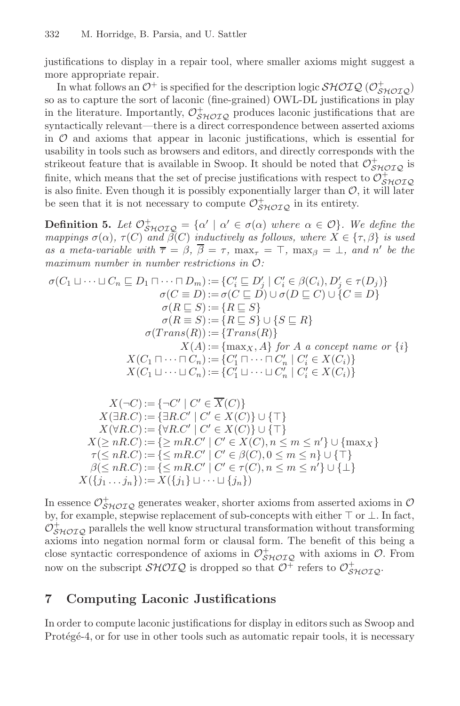justifications to display in a repair tool, where smaller axioms might suggest a more appropriate repair.

In what follows an  $\mathcal{O}^+$  is specified for the description logic  $\mathcal{SHOLQ}(\mathcal{O}_{\mathcal{SHOIQ}}^+)$ so as to capture the sort of laconic (fine-grained) OWL-DL justifications in play in the literature. Importantly,  $\mathcal{O}_{\mathcal{SHOIQ}}^+$  produces laconic justifications that are syntactically relevant—there is a direct correspondence between asserted axioms in  $\mathcal O$  and axioms that appear in laconic justifications, which is essential for usability in tools such as browsers and editors, and directly corresponds with the strike out feature that is available in Swoop. It should be noted that  $\mathcal{O}_{\mathcal{SHOIQ}}^+$  is finite, which means that the set of precise justifications with respect to  $\mathcal{O}_{SHTO}^+$ is also finite. Even though it is possibly exponentially larger than  $\mathcal{O}$ , it will later be seen that it is not necessary to compute  $\mathcal{O}_{\mathcal{SHOIQ}}^+$  in its entirety.

**Definition 5.** Let  $\mathcal{O}_{SHOIQ}^+ = {\alpha' \mid \alpha' \in \sigma(\alpha) \text{ where } \alpha \in \mathcal{O}}$ . We define the mannings  $\sigma(\alpha) \cdot \tau(C)$  and  $\beta(C)$  inductively as follows, where  $X \in \mathcal{F}_{I}$ . (i) is used *mappings*  $\sigma(\alpha)$ *,*  $\tau(C)$  *and*  $\beta(C)$  *inductively as follows, where*  $X \in \{\tau, \beta\}$  *is used as a meta-variable with*  $\overline{\tau} = \beta$ ,  $\beta = \tau$ ,  $\max_{\tau} = \top$ ,  $\max_{\beta} = \bot$ , and n' be the maximum number in number restrictions in  $\beta$ . *maximum number in number restrictions in* O*:*

$$
\sigma(C_1 \sqcup \cdots \sqcup C_n \sqsubseteq D_1 \sqcap \cdots \sqcap D_m) := \{C'_i \sqsubseteq D'_j \mid C'_i \in \beta(C_i), D'_j \in \tau(D_j)\}
$$

$$
\sigma(C \equiv D) := \sigma(C \sqsubseteq D) \cup \sigma(D \sqsubseteq C) \cup \{C \equiv D\}
$$

$$
\sigma(R \sqsubseteq S) := \{R \sqsubseteq S\}
$$

$$
\sigma(R \sqsubseteq S) := \{R \sqsubseteq S\} \cup \{S \sqsubseteq R\}
$$

$$
\sigma(Trans(R)) := \{Trans(R)\}
$$

$$
X(A) := \{\max_X, A\} \text{ for } A \text{ a concept name or } \{i\}
$$

$$
X(C_1 \sqcap \cdots \sqcap C_n) := \{C'_1 \sqcap \cdots \sqcap C'_n \mid C'_i \in X(C_i)\}
$$

$$
X(C_1 \sqcup \cdots \sqcup C_n) := \{C'_1 \sqcup \cdots \sqcup C'_n \mid C'_i \in X(C_i)\}
$$

$$
X(\neg C) := \{\neg C' \mid C' \in \overline{X}(C)\}
$$
  
\n
$$
X(\exists R.C) := \{\exists R.C' \mid C' \in X(C)\} \cup \{\top\}
$$
  
\n
$$
X(\forall R.C) := \{\forall R.C' \mid C' \in X(C)\} \cup \{\top\}
$$
  
\n
$$
X(\geq nR.C) := \{\geq mR.C' \mid C' \in X(C), n \leq m \leq n'\} \cup \{\max_{X}\}
$$
  
\n
$$
\tau(\leq nR.C) := \{\leq mR.C' \mid C' \in \beta(C), 0 \leq m \leq n\} \cup \{\top\}
$$
  
\n
$$
\beta(\leq nR.C) := \{\leq mR.C' \mid C' \in \tau(C), n \leq m \leq n'\} \cup \{\bot\}
$$
  
\n
$$
X(\{j_1, \ldots, j_n\}) := X(\{j_1\} \sqcup \cdots \sqcup \{j_n\})
$$

In essence  $\mathcal{O}_{\mathcal{SHOIQ}}^+$  generates weaker, shorter axioms from asserted axioms in  $\mathcal{O}_{\mathcal{SHOIQ}}^+$ by, for example, stepwise replacement of sub-concepts with either  $\top$  or  $\bot$ . In fact,  $\mathcal{O}^+_{\mathcal{SHOIQ}}$  parallels the well know structural transformation without transforming axioms into negation normal form or clausal form. The benefit of this being a close syntactic correspondence of axioms in  $\mathcal{O}_{\mathcal{SHOIQ}}^+$  with axioms in  $\mathcal{O}$ . From now on the subscript  $\mathcal{SHOLQ}$  is dropped so that  $\mathcal{O}^+$  refers to  $\mathcal{O}^+_{\mathcal{SHOLQ}}$ .

# <span id="page-9-0"></span>**7 Computing Laconic Justifications**

In order to compute laconic justifications for display in editors such as Swoop and Protégé-4, or for use in other tools such as automatic repair tools, it is necessary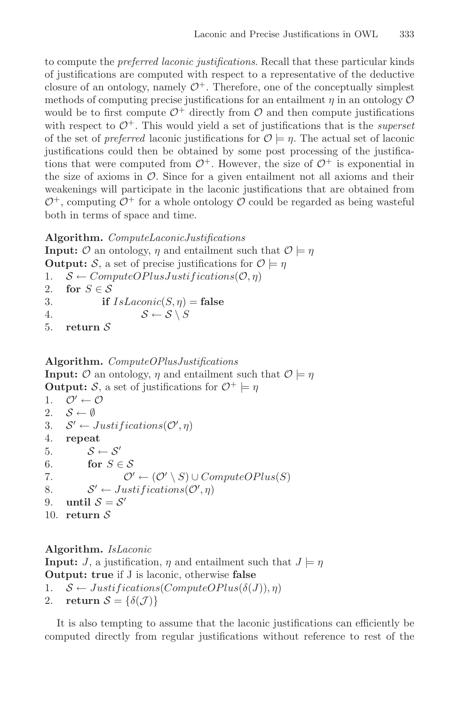to compute the *preferred laconic justifications*. Recall that these particular kinds of justifications are computed with respect to a representative of the deductive closure of an ontology, namely  $\mathcal{O}^+$ . Therefore, one of the conceptually simplest methods of computing precise justifications for an entailment  $\eta$  in an ontology  $\mathcal O$ would be to first compute  $\mathcal{O}^+$  directly from  $\mathcal O$  and then compute justifications with respect to  $\mathcal{O}^+$ . This would yield a set of justifications that is the *superset* of the set of *preferred* laconic justifications for  $\mathcal{O} \models \eta$ . The actual set of laconic justifications could then be obtained by some post processing of the justifications that were computed from  $\mathcal{O}^+$ . However, the size of  $\mathcal{O}^+$  is exponential in the size of axioms in  $\mathcal{O}$ . Since for a given entailment not all axioms and their weakenings will participate in the laconic justifications that are obtained from  $\mathcal{O}^+$ , computing  $\mathcal{O}^+$  for a whole ontology  $\mathcal O$  could be regarded as being wasteful both in terms of space and time.

```
Algorithm. ComputeLaconicJustifications
```
**Input:**  $\mathcal{O}$  an ontology,  $\eta$  and entailment such that  $\mathcal{O} \models \eta$ **Output:**  $S$ , a set of precise justifications for  $\mathcal{O} \models \eta$ <br>1.  $S \leftarrow ComputeOPlus Justifications(\mathcal{O}, \eta)$ 1.  $S \leftarrow ComputeOPlusJustifications(\mathcal{O}, \eta)$ <br>2. for  $S \in \mathcal{S}$ 2. **for**  $S \in \mathcal{S}$ <br>3. **if** 3. **if**  $IsLaconic(S, \eta) = \textbf{false}$ <br>4.  $S \leftarrow S \setminus S$ 

```
4. S \leftarrow S \setminus S<br>5. return S
5. return S
```

```
Algorithm. ComputeOPlusJustifications
```
**Input:**  $\mathcal{O}$  an ontology,  $\eta$  and entailment such that  $\mathcal{O} \models \eta$ **Output:** S, a set of justifications for  $\mathcal{O}^+ \models \eta$ <br>1.  $\mathcal{O}' \leftarrow \mathcal{O}$  $\mathcal{O}' \leftarrow \mathcal{O}$ 2.  $S \leftarrow \emptyset$ 3.  $S' \leftarrow Justifications(O', \eta)$ <br>4 report 4. **repeat** 5.  $S \leftarrow S'$ 6. **for**  $S \in \mathcal{S}$ <br>7.  $\mathcal{O}'$ 7.  $\mathcal{O}' \leftarrow (\mathcal{O}' \setminus S) \cup ComputeOPlus(S)$ <br>8  $S' \leftarrow Justifications(\mathcal{O}' n)$ 8.  $S' \leftarrow Justifications(O', \eta)$ <br>9 **until**  $S = S'$ 9. **until**  $S = S'$ 10. **return** S

**Algorithm.** *IsLaconic* **Input:** J, a justification,  $\eta$  and entailment such that  $J \models \eta$ **Output: true** if J is laconic, otherwise **false** 1.  $S \leftarrow Justifications(ComputeOPlus(\delta(J)), \eta)$ <br>2. return  $S = {\delta(\mathcal{J})}$ return  $S = \{\delta(\mathcal{J})\}$ 

It is also tempting to assume that the laconic justifications can efficiently be computed directly from regular justifications without reference to rest of the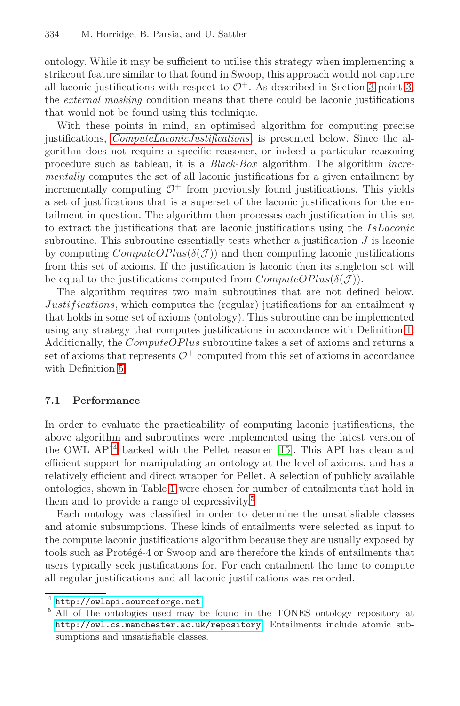ontology. While it may be sufficient to utilise this strategy when implementing a strikeout feature similar to that found in Swoop, this approach would not capture all laconic justifications with respect to  $\mathcal{O}^+$ . As described in Section 3 point 3, the *external masking* condition means that there could be laconic justifications that would not be found using this technique.

With these points in mind, an optimised algorithm for computing precise justifications, *ComputeLaconicJustifications*, is presented below. Since the algorithm does not require a specific reasoner, or indeed a particular reasoning procedure such as tableau, it is a *Black-Box* algorithm. The algorithm *incrementally* computes the set of all laconic justifications for a given entailment by incrementally computing  $\mathcal{O}^+$  from previously found justifications. This yields a set of justifications that is a superset of the laconic justifications for the entailment in question. The algorithm then processes each justification in this set to extract the justifications that are laconic justifications [u](#page-2-0)sing the IsLaconic subroutine. This subroutine essentially tests whether a justification J is laconic by computing  $ComputeOPlus(\delta(\mathcal{J}))$  and then computing laconic justifications from this set of axioms. If the justification is laconic then its singleton set will be equal to the justifications computed from  $ComputeOPlus(\delta(\mathcal{J}))$ .

The algorithm requires two main subroutines that are not defined below. Justifications, which computes the (regular) justifications for an entailment  $\eta$ that holds in some set of axioms (ontology). This subroutine can be implemented using any strategy that computes justifications in accordance with Definition 1. Additionally, the ComputeOPl[us](#page-15-10) subroutine takes a set of axioms and returns a set of axioms that represents  $\mathcal{O}^+$  computed from this set of axioms in accordance with Definition 5.

### **7.1 Performance**

In order to evaluate the practicability of computing laconic justifications, the above algorithm and subroutines were implemented using the latest version of the OWL  $API<sup>4</sup>$  backed with the Pellet reasoner [15]. This API has clean and efficient support for manipulating an ontology at the level of axioms, and has a relatively efficient and direct wrapper for Pellet. A selection of publicly available ontologies, shown in Table 1 were chosen for number of entailments that hold in [them and to pr](http://owlapi.sourceforge.net)ovide a range of expressivity.<sup>5</sup>

Each ontology was classified in order to determine the unsatisfiable classes [and atomic subsumptions. T](http://owl.cs.manchester.ac.uk/repository)hese kinds of entailments were selected as input to the compute laconic justifications algorithm because they are usually exposed by tools such as Protégé-4 or Swoop and are therefore the kinds of entailments that users typically seek justifications for. For each entailment the time to compute all regular justifications and all laconic justifications was recorded.

 $4$  http://owlapi.sourceforge.net

<sup>&</sup>lt;sup>5</sup> All of the ontologies used may be found in the TONES ontology repository at http://owl.cs.manchester.ac.uk/repository. Entailments include atomic subsumptions and unsatisfiable classes.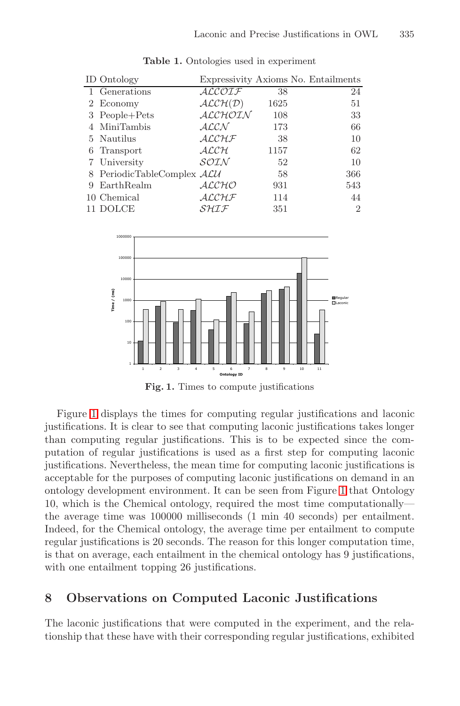|   | <b>ID</b> Ontology         | Expressivity Axioms No. Entailments |      |               |
|---|----------------------------|-------------------------------------|------|---------------|
|   | 1 Generations              | ALCOIF                              | 38   | 24            |
|   | 2 Economy                  | ALCH(D)                             | 1625 | 51            |
|   | 3 People+Pets              | ALCHOIN                             | 108  | 33            |
|   | 4 MiniTambis               | ALCN                                | 173  | 66            |
|   | 5 Nautilus                 | ALCHF                               | 38   | 10            |
|   | 6 Transport                | ALCH                                | 1157 | 62            |
|   | 7 University               | SOIN                                | 52   | 10            |
|   | 8 PeriodicTableComplex ALU |                                     | 58   | 366           |
| 9 | EarthRealm                 | ALCHO                               | 931  | 543           |
|   | 10 Chemical                | ALCHF                               | 114  | 44            |
|   | 11 DOLCE                   | SHIF                                | 351  | $\mathcal{D}$ |

**Table 1.** Ontologies used in experiment

<span id="page-12-0"></span>

**Fig. 1.** Times to compu[te](#page-12-0) justifications

Figure 1 displays the times for computing regular justifications and laconic justifications. It is clear to see that computing laconic justifications takes longer than computing regular justifications. This is to be expected since the computation of regular justifications is used as a first step for computing laconic justifications. Nevertheless, the mean time for computing laconic justifications is acceptable for the purposes of computing laconic justifications on demand in an ontology development environment. It can be seen from Figure 1 that Ontology 10, which is the Chemical ontology, required the most time computationally the average time was 100000 milliseconds (1 min 40 seconds) per entailment. Indeed, for the Chemical ontology, the average time per entailment to compute regular justifications is 20 seconds. The reason for this longer computation time, is that on average, each entailment in the chemical ontology has 9 justifications, with one entailment topping 26 justifications.

# **8 Observations on Computed Laconic Justifications**

The laconic justifications that were computed in the experiment, and the relationship that these have with their corresponding regular justifications, exhibited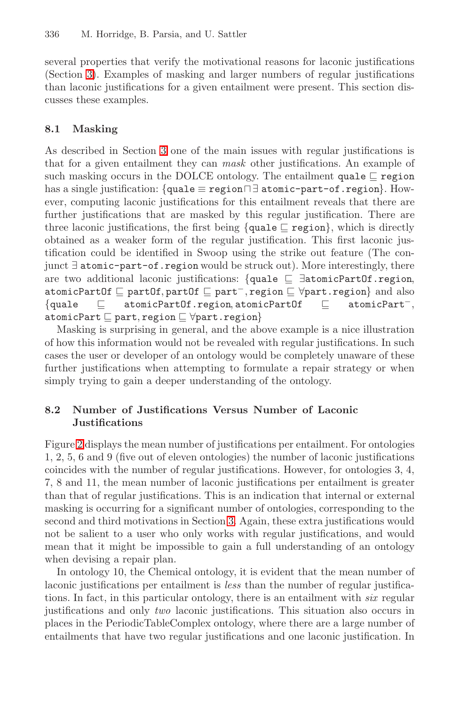several properties that verify the motivational reasons for laconic justifications (Section 3). Examples of masking and larger numbers of regular justifications than laconic justifications for a given entailment were present. This section discusses these examples.

### **8.1 Masking**

As described in Section 3 one of the main issues with regular justifications is that for a given entailment they can *mask* other justifications. An example of such masking occurs in the DOLCE ontology. The entailment quale  $\sqsubseteq$  region region = maximal contracts in the leader stress of the streament quale = region.<br>has a single justification: {quale = region □ atomic-part-of.region}. How-<br>ever, computing laconic justifications for this entailment reveal ever, computing laconic justifications for this entailment reveals that there are further justifications that are masked by this regular justification. There are three laconic justifications, the first being  $\{\text{quale } \sqsubseteq \text{region}\}$ , which is directly obtained as a weaker form of the regular justification. This first laconic just obtained as a weaker form of the regular justification. This first laconic justification could be identified in Swoop using the strike out feature (The conjunct <sup>∃</sup> atomic-part-of.region would be struck out). More interestingly, there are two additional laconic justifications: {quale  $\subseteq$  ∃atomicPartOf.region,<br>atomicPartOf  $\sqsubset$ partOf.partOf. $\sqsubset$ part $\sqsubset$ region  $\sqsubset$  ∀part region, and also atomicPartOf  $\sqsubseteq$  partOf, partOf  $\sqsubseteq$  part<sup>-</sup>, region  $\sqsubseteq$  ∀part.region} and also<br>{quale = atomicPartOf region atomicPartOf = atomicPart<sup>-</sup>  $\{ \begin{matrix} \text{quad} & \\\text{=} \end{matrix} \}$ atomicPart l  $\Box$  atomicPartOf.region, atomicPartOf  $\Box$  atomicPart−,  $atomicPart \sqsubseteq part, region \sqsubseteq \forall part. region$ <br>Masking is surprising in general, and the ab

Masking is surprising in general, and the above example is a nice illustration of how this information would not be revealed with regular justifications. In such cases the user or developer of an ontology would be completely unaware of these further justifications when attempting to formulate a repair strategy or when simply trying to gain a deeper understanding of the ontology.

## **8.2 Number of Justifications Versus Number of Laconic Justification[s](#page-2-1)**

Figure 2 displays the mean number of justifications per entailment. For ontologies 1, 2, 5, 6 and 9 (five out of eleven ontologies) the number of laconic justifications coincides with the number of regular justifications. However, for ontologies 3, 4, 7, 8 and 11, the mean number of laconic justifications per entailment is greater than that of regular justifications. This is an indication that internal or external masking is occurring for a significant number of ontologies, corresponding to the second and third motivations in Section 3. Again, these extra justifications would not be salient to a user who only works with regular justifications, and would mean that it might be impossible to gain a full understanding of an ontology when devising a repair plan.

In ontology 10, the Chemical ontology, it is evident that the mean number of laconic justifications per entailment is *less* than the number of regular justifications. In fact, in this particular ontology, there is an entailment with *six* regular justifications and only *two* laconic justifications. This situation also occurs in places in the PeriodicTableComplex ontology, where there are a large number of entailments that have two regular justifications and one laconic justification. In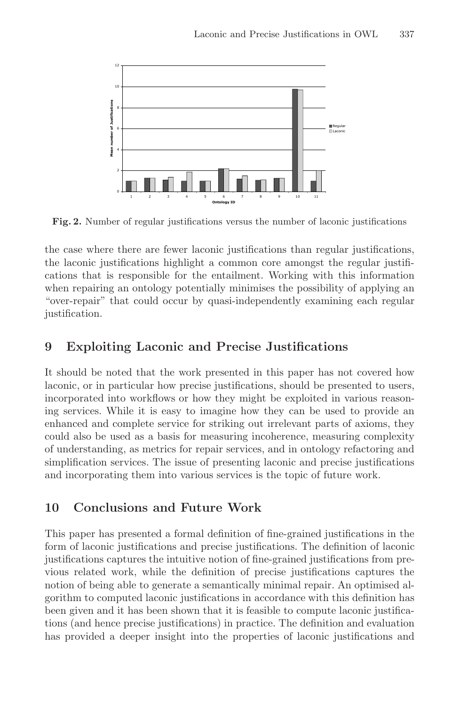

**Fig. 2.** Number of regular justifications versus the number of laconic justifications

the case where there are fewer laconic justifications than regular justifications, the laconic justifications highlight a common core amongst the regular justifications that is responsible for the entailment. Working with this information when repairing an ontology potentially minimises the possibility of applying an "over-repair" that could occur by quasi-independently examining each regular justification.

# **9 Exploiting Laconic and Precise Justifications**

It should be noted that the work presented in this paper has not covered how laconic, or in particular how precise justifications, should be presented to users, incorporated into workflows or how they might be exploited in various reasoning services. While it is easy to imagine how they can be used to provide an enhanced and complete service for striking out irrelevant parts of axioms, they could also be used as a basis for measuring incoherence, measuring complexity of understanding, as metrics for repair services, and in ontology refactoring and simplification services. The issue of presenting laconic and precise justifications and incorporating them into various services is the topic of future work.

# **10 Conclusions and Future Work**

This paper has presented a formal definition of fine-grained justifications in the form of laconic justifications and precise justifications. The definition of laconic justifications captures the intuitive notion of fine-grained justifications from previous related work, while the definition of precise justifications captures the notion of being able to generate a semantically minimal repair. An optimised algorithm to computed laconic justifications in accordance with this definition has been given and it has been shown that it is feasible to compute laconic justifications (and hence precise justifications) in practice. The definition and evaluation has provided a deeper insight into the properties of laconic justifications and